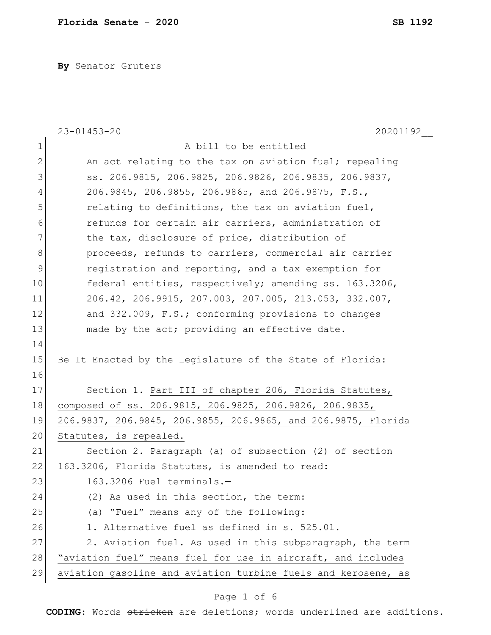**By** Senator Gruters

|              | $23 - 01453 - 20$<br>20201192                                           |
|--------------|-------------------------------------------------------------------------|
| $\mathbf 1$  | A bill to be entitled                                                   |
| $\mathbf{2}$ | An act relating to the tax on aviation fuel; repealing                  |
| 3            | ss. 206.9815, 206.9825, 206.9826, 206.9835, 206.9837,                   |
| 4            | 206.9845, 206.9855, 206.9865, and 206.9875, F.S.,                       |
| 5            | relating to definitions, the tax on aviation fuel,                      |
| 6            | refunds for certain air carriers, administration of                     |
| 7            | the tax, disclosure of price, distribution of                           |
| 8            | proceeds, refunds to carriers, commercial air carrier                   |
| $\mathsf 9$  | registration and reporting, and a tax exemption for                     |
| 10           | federal entities, respectively; amending ss. 163.3206,                  |
| 11           | $206.42$ , $206.9915$ , $207.003$ , $207.005$ , $213.053$ , $332.007$ , |
| 12           | and 332.009, F.S.; conforming provisions to changes                     |
| 13           | made by the act; providing an effective date.                           |
| 14           |                                                                         |
| 15           | Be It Enacted by the Legislature of the State of Florida:               |
| 16           |                                                                         |
| 17           | Section 1. Part III of chapter 206, Florida Statutes,                   |
| 18           | composed of ss. 206.9815, 206.9825, 206.9826, 206.9835,                 |
| 19           | 206.9837, 206.9845, 206.9855, 206.9865, and 206.9875, Florida           |
| 20           | Statutes, is repealed.                                                  |
| 21           | Section 2. Paragraph (a) of subsection (2) of section                   |
| 22           | 163.3206, Florida Statutes, is amended to read:                         |
| 23           | 163.3206 Fuel terminals.-                                               |
| 24           | (2) As used in this section, the term:                                  |
| 25           | (a) "Fuel" means any of the following:                                  |
| 26           | 1. Alternative fuel as defined in s. 525.01.                            |
| 27           | 2. Aviation fuel. As used in this subparagraph, the term                |
| 28           | "aviation fuel" means fuel for use in aircraft, and includes            |
| 29           | aviation gasoline and aviation turbine fuels and kerosene, as           |

# Page 1 of 6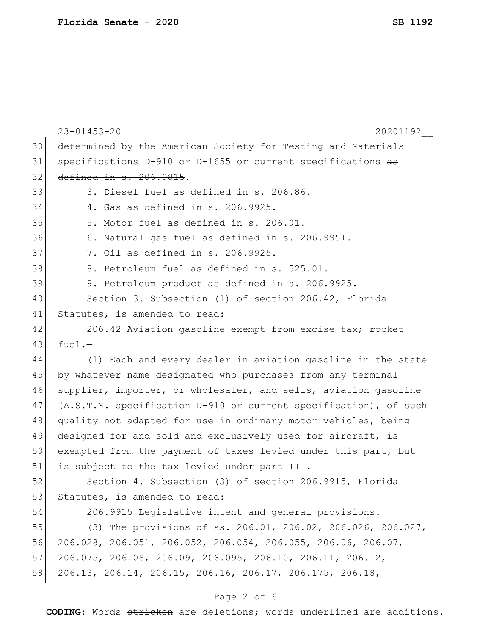|    | $23 - 01453 - 20$<br>20201192                                                     |
|----|-----------------------------------------------------------------------------------|
| 30 | determined by the American Society for Testing and Materials                      |
| 31 | specifications D-910 or D-1655 or current specifications as                       |
| 32 | defined in s. 206.9815.                                                           |
| 33 | 3. Diesel fuel as defined in s. 206.86.                                           |
| 34 | 4. Gas as defined in s. 206.9925.                                                 |
| 35 | 5. Motor fuel as defined in s. 206.01.                                            |
| 36 | 6. Natural gas fuel as defined in s. 206.9951.                                    |
| 37 | 7. Oil as defined in s. 206.9925.                                                 |
| 38 | 8. Petroleum fuel as defined in s. 525.01.                                        |
| 39 | 9. Petroleum product as defined in s. 206.9925.                                   |
| 40 | Section 3. Subsection (1) of section 206.42, Florida                              |
| 41 | Statutes, is amended to read:                                                     |
| 42 | 206.42 Aviation gasoline exempt from excise tax; rocket                           |
| 43 | $fuel. -$                                                                         |
| 44 | (1) Each and every dealer in aviation gasoline in the state                       |
| 45 | by whatever name designated who purchases from any terminal                       |
| 46 | supplier, importer, or wholesaler, and sells, aviation gasoline                   |
| 47 | (A.S.T.M. specification D-910 or current specification), of such                  |
| 48 | quality not adapted for use in ordinary motor vehicles, being                     |
| 49 | designed for and sold and exclusively used for aircraft, is                       |
| 50 | exempted from the payment of taxes levied under this part, but                    |
| 51 | is subject to the tax levied under part III.                                      |
| 52 | Section 4. Subsection (3) of section 206.9915, Florida                            |
| 53 | Statutes, is amended to read:                                                     |
| 54 | 206.9915 Legislative intent and general provisions.-                              |
| 55 | (3) The provisions of ss. 206.01, 206.02, 206.026, 206.027,                       |
| 56 | $206.028$ , $206.051$ , $206.052$ , $206.054$ , $206.055$ , $206.06$ , $206.07$ , |
| 57 | $206.075$ , $206.08$ , $206.09$ , $206.095$ , $206.10$ , $206.11$ , $206.12$ ,    |
| 58 | 206.13, 206.14, 206.15, 206.16, 206.17, 206.175, 206.18,                          |
|    |                                                                                   |

# Page 2 of 6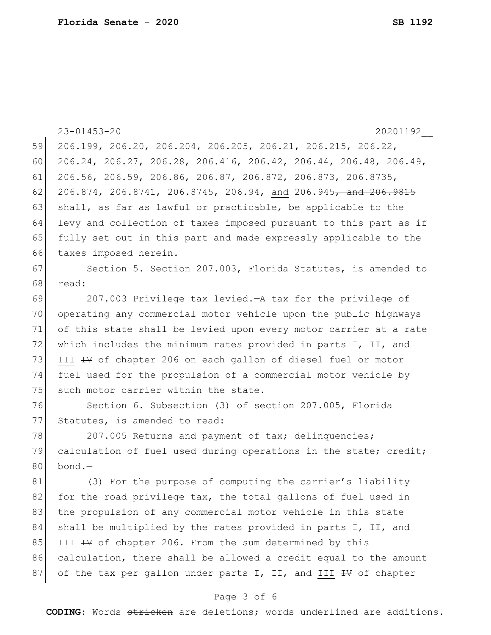|    | $23 - 01453 - 20$<br>20201192                                    |
|----|------------------------------------------------------------------|
| 59 | 206.199, 206.20, 206.204, 206.205, 206.21, 206.215, 206.22,      |
| 60 | 206.24, 206.27, 206.28, 206.416, 206.42, 206.44, 206.48, 206.49, |
| 61 | 206.56, 206.59, 206.86, 206.87, 206.872, 206.873, 206.8735,      |
| 62 | 206.874, 206.8741, 206.8745, 206.94, and 206.945, and 206.9815   |
| 63 | shall, as far as lawful or practicable, be applicable to the     |
| 64 | levy and collection of taxes imposed pursuant to this part as if |
| 65 | fully set out in this part and made expressly applicable to the  |
| 66 | taxes imposed herein.                                            |
| 67 | Section 5. Section 207.003, Florida Statutes, is amended to      |
| 68 | read:                                                            |
| 69 | 207.003 Privilege tax levied. - A tax for the privilege of       |
| 70 | operating any commercial motor vehicle upon the public highways  |
| 71 | of this state shall be levied upon every motor carrier at a rate |
| 72 | which includes the minimum rates provided in parts I, II, and    |
| 73 | III #V of chapter 206 on each gallon of diesel fuel or motor     |
| 74 | fuel used for the propulsion of a commercial motor vehicle by    |
| 75 | such motor carrier within the state.                             |
| 76 | Section 6. Subsection (3) of section 207.005, Florida            |
| 77 | Statutes, is amended to read:                                    |
| 78 | 207.005 Returns and payment of tax; delinquencies;               |
| 79 | calculation of fuel used during operations in the state; credit; |
| 80 | $bond. -$                                                        |
| 81 | (3) For the purpose of computing the carrier's liability         |
| 82 | for the road privilege tax, the total gallons of fuel used in    |
| 83 | the propulsion of any commercial motor vehicle in this state     |
| 84 | shall be multiplied by the rates provided in parts I, II, and    |
| 85 | III #V of chapter 206. From the sum determined by this           |
| 86 | calculation, there shall be allowed a credit equal to the amount |
| 87 | of the tax per gallon under parts I, II, and III + V of chapter  |

# Page 3 of 6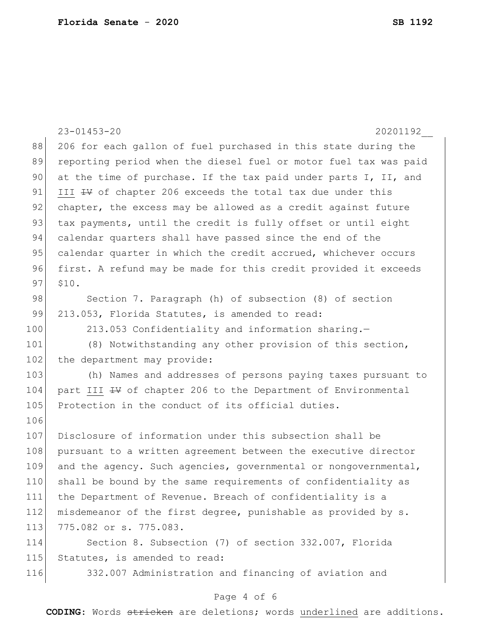|     | $23 - 01453 - 20$<br>20201192                                    |
|-----|------------------------------------------------------------------|
| 88  | 206 for each gallon of fuel purchased in this state during the   |
| 89  | reporting period when the diesel fuel or motor fuel tax was paid |
| 90  | at the time of purchase. If the tax paid under parts I, II, and  |
| 91  | III # of chapter 206 exceeds the total tax due under this        |
| 92  | chapter, the excess may be allowed as a credit against future    |
| 93  | tax payments, until the credit is fully offset or until eight    |
| 94  | calendar quarters shall have passed since the end of the         |
| 95  | calendar quarter in which the credit accrued, whichever occurs   |
| 96  | first. A refund may be made for this credit provided it exceeds  |
| 97  | \$10.                                                            |
| 98  | Section 7. Paragraph (h) of subsection (8) of section            |
| 99  | 213.053, Florida Statutes, is amended to read:                   |
| 100 | 213.053 Confidentiality and information sharing.-                |
| 101 | (8) Notwithstanding any other provision of this section,         |
| 102 | the department may provide:                                      |
| 103 | (h) Names and addresses of persons paying taxes pursuant to      |
| 104 | part III # of chapter 206 to the Department of Environmental     |
| 105 | Protection in the conduct of its official duties.                |
| 106 |                                                                  |
| 107 | Disclosure of information under this subsection shall be         |
| 108 | pursuant to a written agreement between the executive director   |
| 109 | and the agency. Such agencies, governmental or nongovernmental,  |
| 110 | shall be bound by the same requirements of confidentiality as    |
| 111 | the Department of Revenue. Breach of confidentiality is a        |
| 112 | misdemeanor of the first degree, punishable as provided by s.    |
| 113 | 775.082 or s. 775.083.                                           |
| 114 | Section 8. Subsection (7) of section 332.007, Florida            |
| 115 | Statutes, is amended to read:                                    |
| 116 | 332.007 Administration and financing of aviation and             |

# Page 4 of 6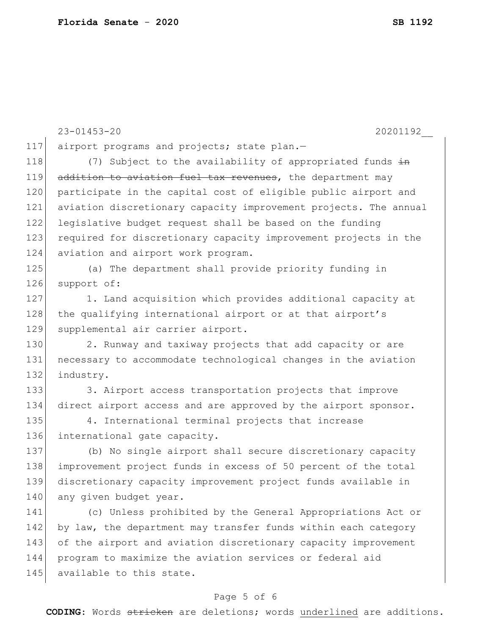23-01453-20 20201192\_\_ 117 airport programs and projects; state plan.-118  $(7)$  Subject to the availability of appropriated funds  $\frac{1}{2}$ 119 addition to aviation fuel tax revenues, the department may 120 participate in the capital cost of eligible public airport and 121 aviation discretionary capacity improvement projects. The annual 122 legislative budget request shall be based on the funding 123 required for discretionary capacity improvement projects in the 124 aviation and airport work program. 125 (a) The department shall provide priority funding in 126 support of: 127 1. Land acquisition which provides additional capacity at 128 the qualifying international airport or at that airport's 129 supplemental air carrier airport. 130 2. Runway and taxiway projects that add capacity or are 131 necessary to accommodate technological changes in the aviation 132 industry. 133 3. Airport access transportation projects that improve 134 direct airport access and are approved by the airport sponsor. 135 4. International terminal projects that increase 136 international gate capacity. 137 (b) No single airport shall secure discretionary capacity 138 improvement project funds in excess of 50 percent of the total 139 discretionary capacity improvement project funds available in 140 any given budget year. 141 (c) Unless prohibited by the General Appropriations Act or 142 by law, the department may transfer funds within each category 143 of the airport and aviation discretionary capacity improvement 144 program to maximize the aviation services or federal aid 145 available to this state.

## Page 5 of 6